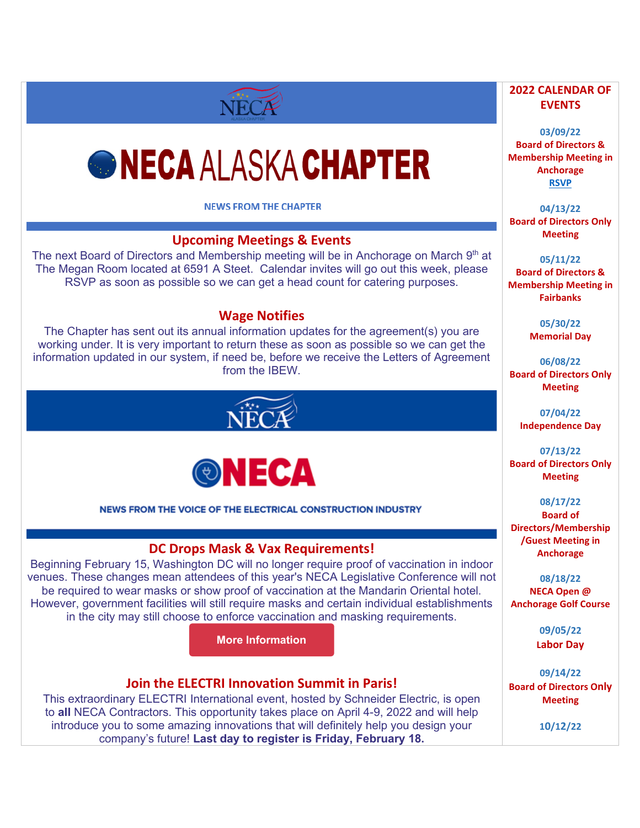# *GNECA ALASKA CHAPTER*

NECA

**NEWS FROM THE CHAPTER** 

# **Upcoming Meetings & Events**

The next Board of Directors and Membership meeting will be in Anchorage on March 9<sup>th</sup> at The Megan Room located at 6591 A Steet. Calendar invites will go out this week, please RSVP as soon as possible so we can get a head count for catering purposes.

## **Wage Notifies**

The Chapter has sent out its annual information updates for the agreement(s) you are working under. It is very important to return these as soon as possible so we can get the information updated in our system, if need be, before we receive the Letters of Agreement from the IBEW.





NEWS FROM THE VOICE OF THE ELECTRICAL CONSTRUCTION INDUSTRY

#### **DC Drops Mask & Vax Requirements!**

Beginning February 15, Washington DC will no longer require proof of vaccination in indoor venues. These changes mean attendees of this year's NECA Legislative Conference will not be required to wear masks or show proof of vaccination at the Mandarin Oriental hotel. However, government facilities will still require masks and certain individual establishments in the city may still choose to enforce vaccination and masking requirements.

**More [Information](https://d15k2d11r6t6rl.cloudfront.net/public/users/Integrators/BeeProAgency/733059_716145/Coronavirus_Legal-ETSDecision_1-13-22.pdf)**

#### **Join the ELECTRI Innovation Summit in Paris!**

This extraordinary ELECTRI International event, hosted by Schneider Electric, is open to **all** NECA Contractors. This opportunity takes place on April 4-9, 2022 and will help introduce you to some amazing innovations that will definitely help you design your company's future! **Last day to register is Friday, February 18.**

#### **2022 CALENDAR OF EVENTS**

**03/09/22 Board of Directors & Membership Meeting in Anchorage [RSVP](mailto:michelle@alaskaneca.org?subject=Meeting%20RSVP)**

**04/13/22 Board of Directors Only Meeting**

**05/11/22 Board of Directors & Membership Meeting in Fairbanks**

> **05/30/22 Memorial Day**

**06/08/22 Board of Directors Only Meeting** 

> **07/04/22 Independence Day**

**07/13/22 Board of Directors Only Meeting**

**08/17/22 Board of Directors/Membership /Guest Meeting in Anchorage**

**08/18/22 NECA Open @ Anchorage Golf Course**

> **09/05/22 Labor Day**

**09/14/22 Board of Directors Only Meeting**

**10/12/22**